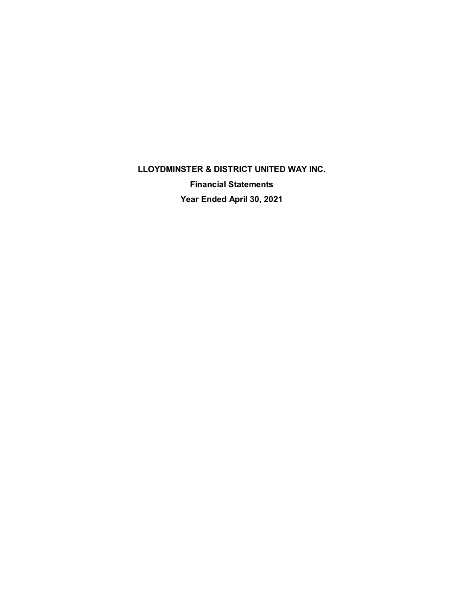**LLOYDMINSTER & DISTRICT UNITED WAY INC. Financial Statements Year Ended April 30, 2021**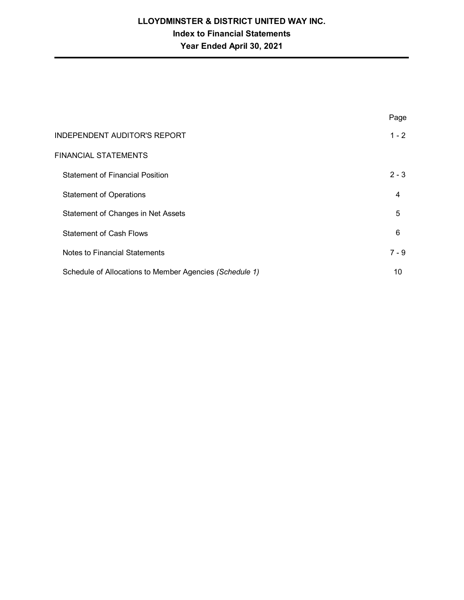## **LLOYDMINSTER & DISTRICT UNITED WAY INC. Index to Financial Statements Year Ended April 30, 2021**

|                                                         | Page    |
|---------------------------------------------------------|---------|
| INDEPENDENT AUDITOR'S REPORT                            | $1 - 2$ |
| <b>FINANCIAL STATEMENTS</b>                             |         |
| <b>Statement of Financial Position</b>                  | $2 - 3$ |
| <b>Statement of Operations</b>                          | 4       |
| Statement of Changes in Net Assets                      | 5       |
| <b>Statement of Cash Flows</b>                          | 6       |
| Notes to Financial Statements                           | $7 - 9$ |
| Schedule of Allocations to Member Agencies (Schedule 1) | 10      |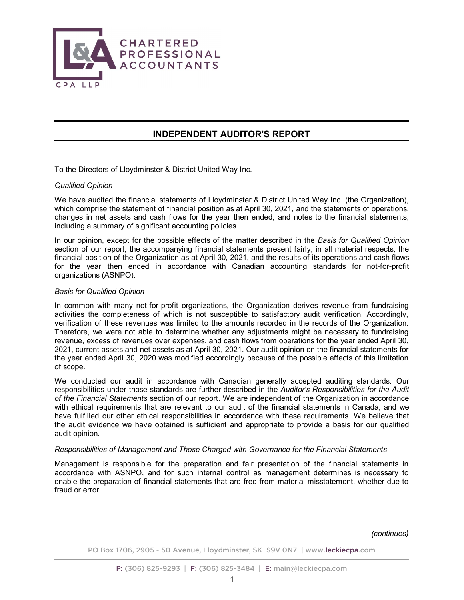

## **INDEPENDENT AUDITOR'S REPORT**

To the Directors of Lloydminster & District United Way Inc.

### *Qualified Opinion*

We have audited the financial statements of Lloydminster & District United Way Inc. (the Organization), which comprise the statement of financial position as at April 30, 2021, and the statements of operations, changes in net assets and cash flows for the year then ended, and notes to the financial statements, including a summary of significant accounting policies.

In our opinion, except for the possible effects of the matter described in the *Basis for Qualified Opinion* section of our report, the accompanying financial statements present fairly, in all material respects, the financial position of the Organization as at April 30, 2021, and the results of its operations and cash flows for the year then ended in accordance with Canadian accounting standards for not-for-profit organizations (ASNPO).

### *Basis for Qualified Opinion*

In common with many not-for-profit organizations, the Organization derives revenue from fundraising activities the completeness of which is not susceptible to satisfactory audit verification. Accordingly, verification of these revenues was limited to the amounts recorded in the records of the Organization. Therefore, we were not able to determine whether any adjustments might be necessary to fundraising revenue, excess of revenues over expenses, and cash flows from operations for the year ended April 30, 2021, current assets and net assets as at April 30, 2021. Our audit opinion on the financial statements for the year ended April 30, 2020 was modified accordingly because of the possible effects of this limitation of scope.

We conducted our audit in accordance with Canadian generally accepted auditing standards. Our responsibilities under those standards are further described in the *Auditor's Responsibilities for the Audit of the Financial Statements* section of our report. We are independent of the Organization in accordance with ethical requirements that are relevant to our audit of the financial statements in Canada, and we have fulfilled our other ethical responsibilities in accordance with these requirements. We believe that the audit evidence we have obtained is sufficient and appropriate to provide a basis for our qualified audit opinion.

#### *Responsibilities of Management and Those Charged with Governance for the Financial Statements*

Management is responsible for the preparation and fair presentation of the financial statements in accordance with ASNPO, and for such internal control as management determines is necessary to enable the preparation of financial statements that are free from material misstatement, whether due to fraud or error.

*(continues)*

PO Box 1706, 2905 - 50 Avenue, Lloydminster, SK S9V 0N7 | www.leckiecpa.com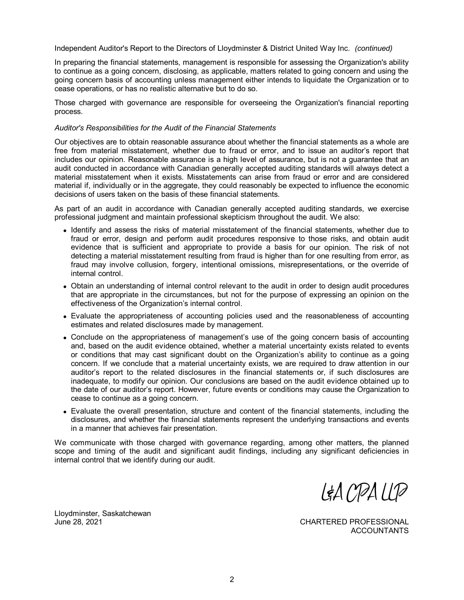Independent Auditor's Report to the Directors of Lloydminster & District United Way Inc. *(continued)*

In preparing the financial statements, management is responsible for assessing the Organization's ability to continue as a going concern, disclosing, as applicable, matters related to going concern and using the going concern basis of accounting unless management either intends to liquidate the Organization or to cease operations, or has no realistic alternative but to do so.

Those charged with governance are responsible for overseeing the Organization's financial reporting process.

#### *Auditor's Responsibilities for the Audit of the Financial Statements*

Our objectives are to obtain reasonable assurance about whether the financial statements as a whole are free from material misstatement, whether due to fraud or error, and to issue an auditor's report that includes our opinion. Reasonable assurance is a high level of assurance, but is not a guarantee that an audit conducted in accordance with Canadian generally accepted auditing standards will always detect a material misstatement when it exists. Misstatements can arise from fraud or error and are considered material if, individually or in the aggregate, they could reasonably be expected to influence the economic decisions of users taken on the basis of these financial statements.

As part of an audit in accordance with Canadian generally accepted auditing standards, we exercise professional judgment and maintain professional skepticism throughout the audit. We also:

- Identify and assess the risks of material misstatement of the financial statements, whether due to fraud or error, design and perform audit procedures responsive to those risks, and obtain audit evidence that is sufficient and appropriate to provide a basis for our opinion. The risk of not detecting a material misstatement resulting from fraud is higher than for one resulting from error, as fraud may involve collusion, forgery, intentional omissions, misrepresentations, or the override of internal control.
- Obtain an understanding of internal control relevant to the audit in order to design audit procedures that are appropriate in the circumstances, but not for the purpose of expressing an opinion on the effectiveness of the Organization's internal control.
- Evaluate the appropriateness of accounting policies used and the reasonableness of accounting estimates and related disclosures made by management.
- Conclude on the appropriateness of management's use of the going concern basis of accounting and, based on the audit evidence obtained, whether a material uncertainty exists related to events or conditions that may cast significant doubt on the Organization's ability to continue as a going concern. If we conclude that a material uncertainty exists, we are required to draw attention in our auditor's report to the related disclosures in the financial statements or, if such disclosures are inadequate, to modify our opinion. Our conclusions are based on the audit evidence obtained up to the date of our auditor's report. However, future events or conditions may cause the Organization to cease to continue as a going concern.
- Evaluate the overall presentation, structure and content of the financial statements, including the disclosures, and whether the financial statements represent the underlying transactions and events in a manner that achieves fair presentation.

We communicate with those charged with governance regarding, among other matters, the planned scope and timing of the audit and significant audit findings, including any significant deficiencies in internal control that we identify during our audit.

L&A CPA LLP

Lloydminster, Saskatchewan

June 28, 2021 CHARTERED PROFESSIONAL ACCOUNTANTS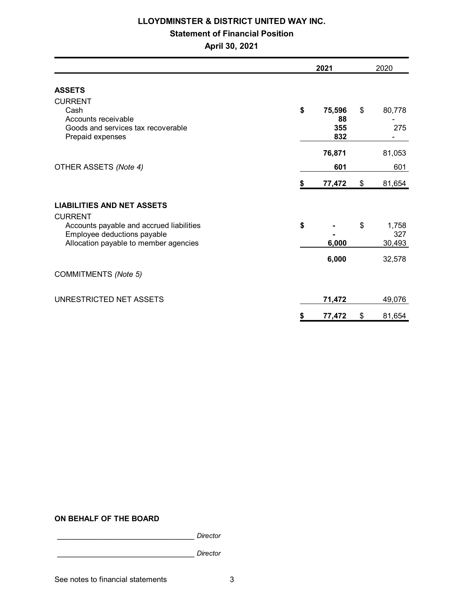### **Statement of Financial Position**

**April 30, 2021**

|                                          | 2021 |        | 2020         |  |
|------------------------------------------|------|--------|--------------|--|
| <b>ASSETS</b>                            |      |        |              |  |
| <b>CURRENT</b>                           |      |        |              |  |
| Cash                                     | \$   | 75,596 | \$<br>80,778 |  |
| Accounts receivable                      |      | 88     |              |  |
| Goods and services tax recoverable       |      | 355    | 275          |  |
| Prepaid expenses                         |      | 832    |              |  |
|                                          |      | 76,871 | 81,053       |  |
| OTHER ASSETS (Note 4)                    |      | 601    | 601          |  |
|                                          |      | 77,472 | \$<br>81,654 |  |
|                                          |      |        |              |  |
| <b>LIABILITIES AND NET ASSETS</b>        |      |        |              |  |
| <b>CURRENT</b>                           |      |        |              |  |
| Accounts payable and accrued liabilities | \$   |        | \$<br>1,758  |  |
| Employee deductions payable              |      |        | 327          |  |
| Allocation payable to member agencies    |      | 6,000  | 30,493       |  |
|                                          |      | 6,000  | 32,578       |  |
| COMMITMENTS (Note 5)                     |      |        |              |  |
|                                          |      |        |              |  |
| UNRESTRICTED NET ASSETS                  |      | 71,472 | 49,076       |  |
|                                          | \$   | 77,472 | \$<br>81,654 |  |

### **ON BEHALF OF THE BOARD**

\_\_\_\_\_\_\_\_\_\_\_\_\_\_\_\_\_\_\_\_\_\_\_\_\_\_\_\_\_ *Director*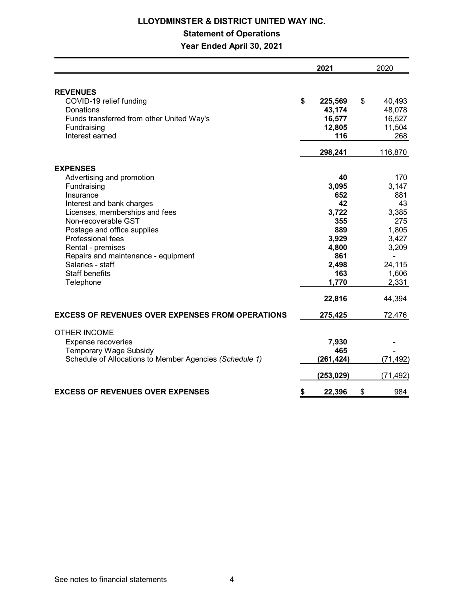## **Statement of Operations**

|                                                                                                                                              |           | 2021                                         | 2020                                              |
|----------------------------------------------------------------------------------------------------------------------------------------------|-----------|----------------------------------------------|---------------------------------------------------|
| <b>REVENUES</b><br>COVID-19 relief funding<br>Donations<br>Funds transferred from other United Way's<br>Fundraising<br>Interest earned       | \$        | 225,569<br>43,174<br>16,577<br>12,805<br>116 | \$<br>40,493<br>48,078<br>16,527<br>11,504<br>268 |
| <b>EXPENSES</b>                                                                                                                              |           | 298,241                                      | 116,870                                           |
| Advertising and promotion<br>Fundraising<br>Insurance                                                                                        |           | 40<br>3,095<br>652                           | 170<br>3,147<br>881                               |
| Interest and bank charges<br>Licenses, memberships and fees<br>Non-recoverable GST                                                           |           | 42<br>3,722<br>355                           | 43<br>3,385<br>275                                |
| Postage and office supplies<br>Professional fees<br>Rental - premises<br>Repairs and maintenance - equipment                                 |           | 889<br>3,929<br>4,800<br>861                 | 1,805<br>3,427<br>3,209                           |
| Salaries - staff<br><b>Staff benefits</b><br>Telephone                                                                                       |           | 2,498<br>163<br>1,770                        | 24,115<br>1,606<br>2,331                          |
|                                                                                                                                              |           | 22,816                                       | 44,394                                            |
| <b>EXCESS OF REVENUES OVER EXPENSES FROM OPERATIONS</b>                                                                                      |           | 275,425                                      | 72,476                                            |
| <b>OTHER INCOME</b><br><b>Expense recoveries</b><br><b>Temporary Wage Subsidy</b><br>Schedule of Allocations to Member Agencies (Schedule 1) |           | 7,930<br>465<br>(261, 424)                   | (71,492)                                          |
|                                                                                                                                              |           | (253, 029)                                   | (71, 492)                                         |
| <b>EXCESS OF REVENUES OVER EXPENSES</b>                                                                                                      | <u>\$</u> | 22,396                                       | \$<br>984                                         |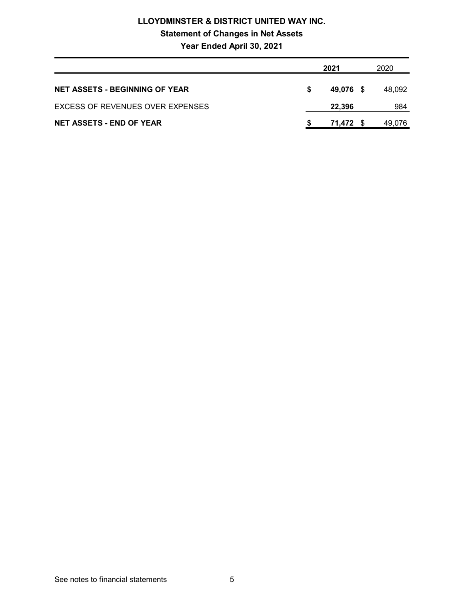## **Statement of Changes in Net Assets**

|                                       | 2021 |           | 2020 |        |
|---------------------------------------|------|-----------|------|--------|
| <b>NET ASSETS - BEGINNING OF YEAR</b> | S    | 49.076 S  |      | 48,092 |
| EXCESS OF REVENUES OVER EXPENSES      |      | 22.396    |      | 984    |
| NET ASSETS - END OF YEAR              |      | 71,472 \$ |      | 49,076 |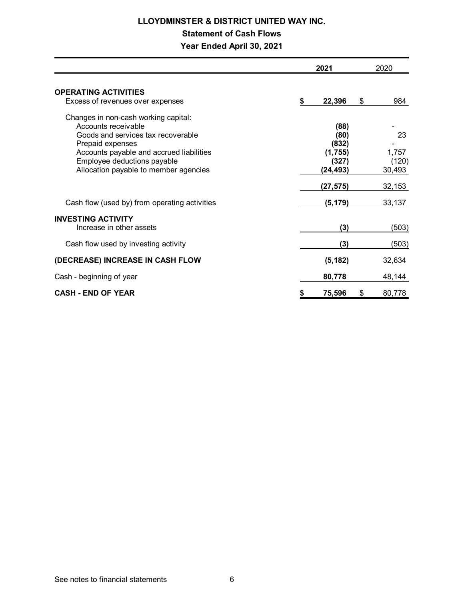## **Statement of Cash Flows**

|                                                                                                                                                                                                                                           | 2021 |                                                                     | 2020                                     |  |
|-------------------------------------------------------------------------------------------------------------------------------------------------------------------------------------------------------------------------------------------|------|---------------------------------------------------------------------|------------------------------------------|--|
| <b>OPERATING ACTIVITIES</b><br>Excess of revenues over expenses                                                                                                                                                                           | \$   | 22,396                                                              | \$<br>984                                |  |
| Changes in non-cash working capital:<br>Accounts receivable<br>Goods and services tax recoverable<br>Prepaid expenses<br>Accounts payable and accrued liabilities<br>Employee deductions payable<br>Allocation payable to member agencies |      | (88)<br>(80)<br>(832)<br>(1,755)<br>(327)<br>(24, 493)<br>(27, 575) | 23<br>1,757<br>(120)<br>30,493<br>32,153 |  |
| Cash flow (used by) from operating activities                                                                                                                                                                                             |      | (5, 179)                                                            | 33,137                                   |  |
| <b>INVESTING ACTIVITY</b><br>Increase in other assets<br>Cash flow used by investing activity                                                                                                                                             |      | (3)<br>(3)                                                          | (503)<br>(503)                           |  |
| (DECREASE) INCREASE IN CASH FLOW                                                                                                                                                                                                          |      | (5, 182)                                                            | 32,634                                   |  |
| Cash - beginning of year                                                                                                                                                                                                                  |      | 80,778                                                              | 48,144                                   |  |
| <b>CASH - END OF YEAR</b>                                                                                                                                                                                                                 | \$   | 75,596                                                              | \$<br>80,778                             |  |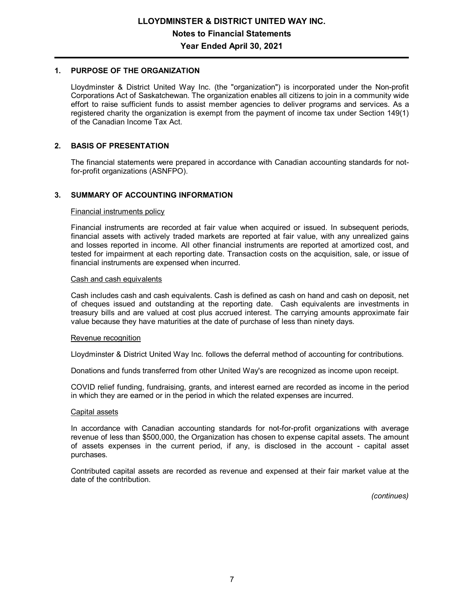### **1. PURPOSE OF THE ORGANIZATION**

Lloydminster & District United Way Inc. (the "organization") is incorporated under the Non-profit Corporations Act of Saskatchewan. The organization enables all citizens to join in a community wide effort to raise sufficient funds to assist member agencies to deliver programs and services. As a registered charity the organization is exempt from the payment of income tax under Section 149(1) of the Canadian Income Tax Act.

### **2. BASIS OF PRESENTATION**

The financial statements were prepared in accordance with Canadian accounting standards for notfor-profit organizations (ASNFPO).

### **3. SUMMARY OF ACCOUNTING INFORMATION**

### Financial instruments policy

Financial instruments are recorded at fair value when acquired or issued. In subsequent periods, financial assets with actively traded markets are reported at fair value, with any unrealized gains and losses reported in income. All other financial instruments are reported at amortized cost, and tested for impairment at each reporting date. Transaction costs on the acquisition, sale, or issue of financial instruments are expensed when incurred.

### Cash and cash equivalents

Cash includes cash and cash equivalents. Cash is defined as cash on hand and cash on deposit, net of cheques issued and outstanding at the reporting date. Cash equivalents are investments in treasury bills and are valued at cost plus accrued interest. The carrying amounts approximate fair value because they have maturities at the date of purchase of less than ninety days.

#### Revenue recognition

Lloydminster & District United Way Inc. follows the deferral method of accounting for contributions.

Donations and funds transferred from other United Way's are recognized as income upon receipt.

COVID relief funding, fundraising, grants, and interest earned are recorded as income in the period in which they are earned or in the period in which the related expenses are incurred.

#### Capital assets

In accordance with Canadian accounting standards for not-for-profit organizations with average revenue of less than \$500,000, the Organization has chosen to expense capital assets. The amount of assets expenses in the current period, if any, is disclosed in the account - capital asset purchases.

Contributed capital assets are recorded as revenue and expensed at their fair market value at the date of the contribution.

*(continues)*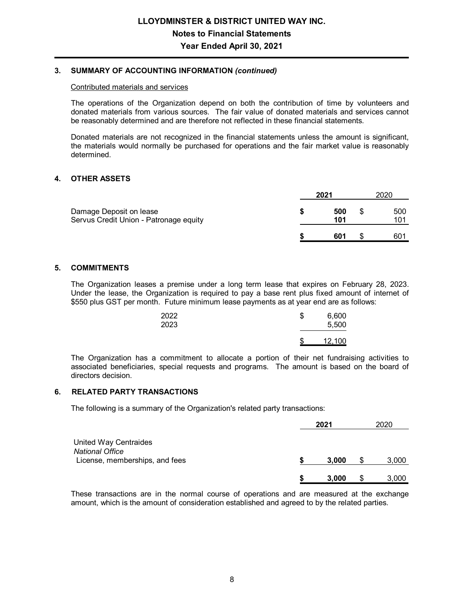### **3. SUMMARY OF ACCOUNTING INFORMATION** *(continued)*

#### Contributed materials and services

The operations of the Organization depend on both the contribution of time by volunteers and donated materials from various sources. The fair value of donated materials and services cannot be reasonably determined and are therefore not reflected in these financial statements.

Donated materials are not recognized in the financial statements unless the amount is significant, the materials would normally be purchased for operations and the fair market value is reasonably determined.

#### **4. OTHER ASSETS**

|                                                                   | 2021       | 2020       |
|-------------------------------------------------------------------|------------|------------|
| Damage Deposit on lease<br>Servus Credit Union - Patronage equity | 500<br>101 | 500<br>101 |
|                                                                   | 601        | 601        |

#### **5. COMMITMENTS**

The Organization leases a premise under a long term lease that expires on February 28, 2023. Under the lease, the Organization is required to pay a base rent plus fixed amount of internet of \$550 plus GST per month. Future minimum lease payments as at year end are as follows:

| 2022<br>2023 | S       | 6,600<br>5,500 |
|--------------|---------|----------------|
|              | ጦ<br>ъĐ | 12,100         |

The Organization has a commitment to allocate a portion of their net fundraising activities to associated beneficiaries, special requests and programs. The amount is based on the board of directors decision.

### **6. RELATED PARTY TRANSACTIONS**

The following is a summary of the Organization's related party transactions:

|                                                                            |  | 2021  | 2020 |       |
|----------------------------------------------------------------------------|--|-------|------|-------|
| United Way Centraides<br>National Office<br>License, memberships, and fees |  | 3.000 |      | 3,000 |
|                                                                            |  | 3.000 |      | 3,000 |

These transactions are in the normal course of operations and are measured at the exchange amount, which is the amount of consideration established and agreed to by the related parties.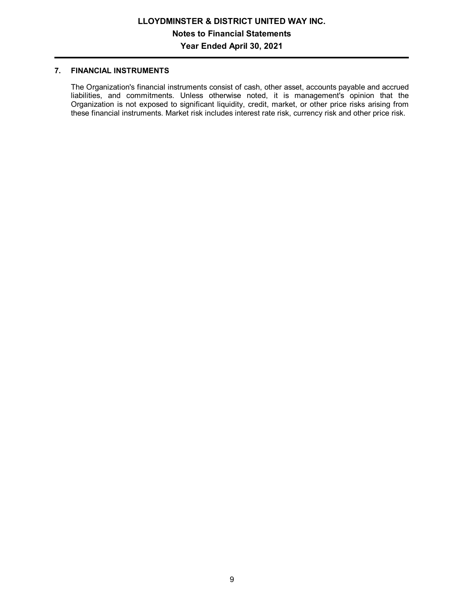### **7. FINANCIAL INSTRUMENTS**

The Organization's financial instruments consist of cash, other asset, accounts payable and accrued liabilities, and commitments. Unless otherwise noted, it is management's opinion that the Organization is not exposed to significant liquidity, credit, market, or other price risks arising from these financial instruments. Market risk includes interest rate risk, currency risk and other price risk.